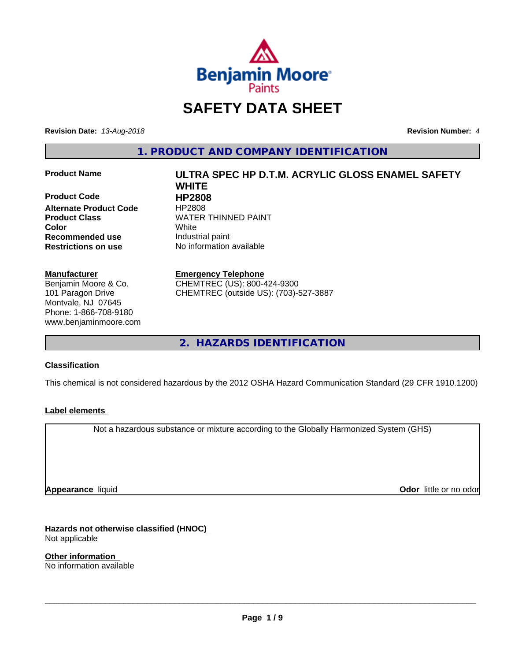

# **SAFETY DATA SHEET**

**Revision Date:** *13-Aug-2018* **Revision Number:** *4*

**1. PRODUCT AND COMPANY IDENTIFICATION**

**Product Code 
<br>
<b>Alternate Product Code** 
HP2808 **Alternate Product Code Recommended use** Industrial paint **Restrictions on use** No information available

#### **Manufacturer**

Benjamin Moore & Co. 101 Paragon Drive Montvale, NJ 07645 Phone: 1-866-708-9180 www.benjaminmoore.com

## **Product Name ULTRA SPEC HP D.T.M. ACRYLIC GLOSS ENAMEL SAFETY WHITE Product Class WATER THINNED PAINT Color** White

#### **Emergency Telephone**

CHEMTREC (US): 800-424-9300 CHEMTREC (outside US): (703)-527-3887

**2. HAZARDS IDENTIFICATION**

#### **Classification**

This chemical is not considered hazardous by the 2012 OSHA Hazard Communication Standard (29 CFR 1910.1200)

#### **Label elements**

Not a hazardous substance or mixture according to the Globally Harmonized System (GHS)

**Appearance** liquid

**Odor** little or no odor

**Hazards not otherwise classified (HNOC)** Not applicable

**Other information** No information available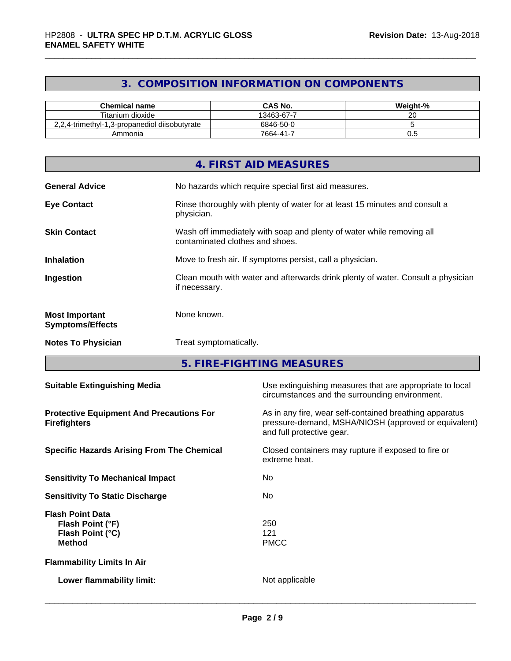## **3. COMPOSITION INFORMATION ON COMPONENTS**

| <b>Chemical name</b>                          | <b>CAS No.</b> | Weight-%            |
|-----------------------------------------------|----------------|---------------------|
| Titanium dioxide                              | 13463-67-7     | $\sim$ $\sim$<br>∠∪ |
| 2,2,4-trimethyl-1,3-propanediol diisobutyrate | 6846-50-0      |                     |
| Ammonia                                       | $7664 - 41 -$  | v.J                 |

|                                                  | 4. FIRST AID MEASURES                                                                                    |
|--------------------------------------------------|----------------------------------------------------------------------------------------------------------|
| <b>General Advice</b>                            | No hazards which require special first aid measures.                                                     |
| <b>Eye Contact</b>                               | Rinse thoroughly with plenty of water for at least 15 minutes and consult a<br>physician.                |
| <b>Skin Contact</b>                              | Wash off immediately with soap and plenty of water while removing all<br>contaminated clothes and shoes. |
| <b>Inhalation</b>                                | Move to fresh air. If symptoms persist, call a physician.                                                |
| Ingestion                                        | Clean mouth with water and afterwards drink plenty of water. Consult a physician<br>if necessary.        |
| <b>Most Important</b><br><b>Symptoms/Effects</b> | None known.                                                                                              |
| <b>Notes To Physician</b>                        | Treat symptomatically.                                                                                   |

**5. FIRE-FIGHTING MEASURES**

| <b>Suitable Extinguishing Media</b>                                              | Use extinguishing measures that are appropriate to local<br>circumstances and the surrounding environment.                                   |
|----------------------------------------------------------------------------------|----------------------------------------------------------------------------------------------------------------------------------------------|
| <b>Protective Equipment And Precautions For</b><br><b>Firefighters</b>           | As in any fire, wear self-contained breathing apparatus<br>pressure-demand, MSHA/NIOSH (approved or equivalent)<br>and full protective gear. |
| <b>Specific Hazards Arising From The Chemical</b>                                | Closed containers may rupture if exposed to fire or<br>extreme heat.                                                                         |
| <b>Sensitivity To Mechanical Impact</b>                                          | No.                                                                                                                                          |
| <b>Sensitivity To Static Discharge</b>                                           | No.                                                                                                                                          |
| <b>Flash Point Data</b><br>Flash Point (°F)<br>Flash Point (°C)<br><b>Method</b> | 250<br>121<br><b>PMCC</b>                                                                                                                    |
| <b>Flammability Limits In Air</b>                                                |                                                                                                                                              |
| Lower flammability limit:                                                        | Not applicable                                                                                                                               |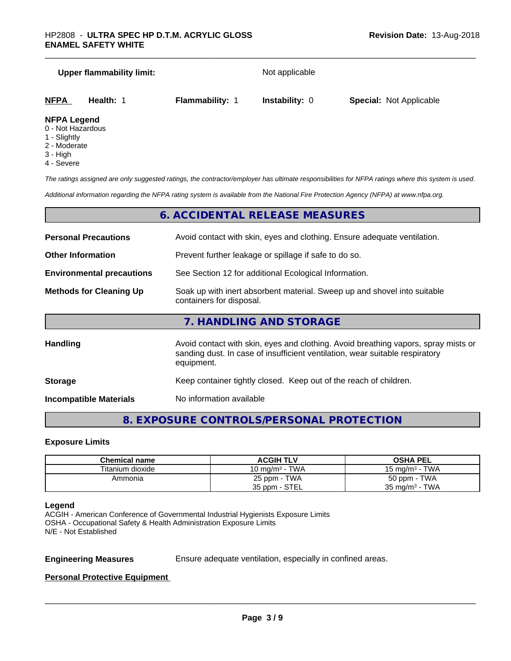# **Upper flammability limit:** Not applicable **NFPA Health:** 1 **Flammability:** 1 **Instability:** 0 **Special:** Not Applicable

#### **NFPA Legend**

- 0 Not Hazardous
- 1 Slightly
- 2 Moderate
- 3 High
- 4 Severe

*The ratings assigned are only suggested ratings, the contractor/employer has ultimate responsibilities for NFPA ratings where this system is used.*

*Additional information regarding the NFPA rating system is available from the National Fire Protection Agency (NFPA) at www.nfpa.org.*

#### **6. ACCIDENTAL RELEASE MEASURES**

| <b>Personal Precautions</b>      | Avoid contact with skin, eyes and clothing. Ensure adequate ventilation.                                                                                                         |
|----------------------------------|----------------------------------------------------------------------------------------------------------------------------------------------------------------------------------|
| <b>Other Information</b>         | Prevent further leakage or spillage if safe to do so.                                                                                                                            |
| <b>Environmental precautions</b> | See Section 12 for additional Ecological Information.                                                                                                                            |
| <b>Methods for Cleaning Up</b>   | Soak up with inert absorbent material. Sweep up and shovel into suitable<br>containers for disposal.                                                                             |
|                                  | 7. HANDLING AND STORAGE                                                                                                                                                          |
| <b>Handling</b>                  | Avoid contact with skin, eyes and clothing. Avoid breathing vapors, spray mists or<br>sanding dust. In case of insufficient ventilation, wear suitable respiratory<br>equipment. |
| <b>Storage</b>                   | Keep container tightly closed. Keep out of the reach of children.                                                                                                                |

**Incompatible Materials** No information available

#### **8. EXPOSURE CONTROLS/PERSONAL PROTECTION**

#### **Exposure Limits**

| Chemical name    | <b>ACGIH TLV</b>  | <b>OSHA PEL</b>           |
|------------------|-------------------|---------------------------|
| Titanium dioxide | 10 mg/m $3$ - TWA | 15 mg/m $3$ - TWA         |
| Ammonia          | 25 ppm - TWA      | 50 ppm - TWA              |
|                  | 35 ppm - STEL     | $35 \text{ mg/m}^3$ - TWA |

#### **Legend**

ACGIH - American Conference of Governmental Industrial Hygienists Exposure Limits OSHA - Occupational Safety & Health Administration Exposure Limits N/E - Not Established

**Engineering Measures** Ensure adequate ventilation, especially in confined areas.

 $\overline{\phantom{a}}$  ,  $\overline{\phantom{a}}$  ,  $\overline{\phantom{a}}$  ,  $\overline{\phantom{a}}$  ,  $\overline{\phantom{a}}$  ,  $\overline{\phantom{a}}$  ,  $\overline{\phantom{a}}$  ,  $\overline{\phantom{a}}$  ,  $\overline{\phantom{a}}$  ,  $\overline{\phantom{a}}$  ,  $\overline{\phantom{a}}$  ,  $\overline{\phantom{a}}$  ,  $\overline{\phantom{a}}$  ,  $\overline{\phantom{a}}$  ,  $\overline{\phantom{a}}$  ,  $\overline{\phantom{a}}$ 

**Personal Protective Equipment**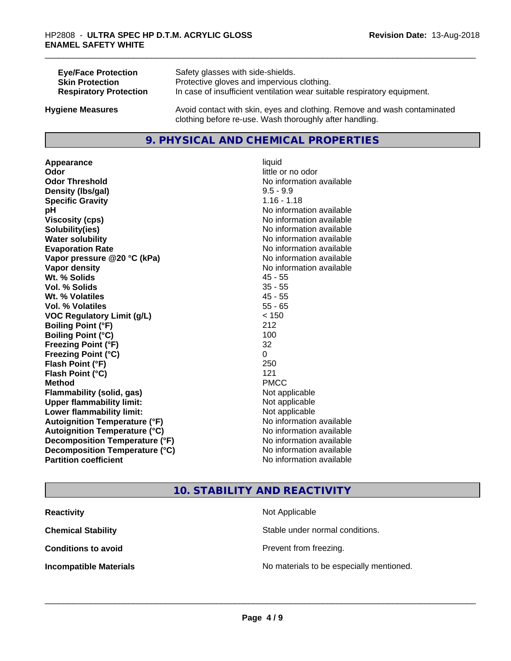| <b>Eye/Face Protection</b>    | Safety glasses with side-shields.                                        |
|-------------------------------|--------------------------------------------------------------------------|
| <b>Skin Protection</b>        | Protective gloves and impervious clothing.                               |
| <b>Respiratory Protection</b> | In case of insufficient ventilation wear suitable respiratory equipment. |
| <b>Hygiene Measures</b>       | Avoid contact with skin, eyes and clothing. Remove and wash contaminated |

#### **9. PHYSICAL AND CHEMICAL PROPERTIES**

clothing before re-use. Wash thoroughly after handling.

**Appearance** liquid **Odor** little or no odor **Odor Threshold**<br> **Density (Ibs/aal)**<br> **Density (Ibs/aal)**<br> **Density (Ibs/aal)**<br> **Density (Ibs/aal) Density (lbs/gal) Specific Gravity** 1.16 - 1.18 **pH** No information available **Viscosity (cps)** No information available **Solubility(ies)** No information available **Water solubility Water solubility Water solubility Water solubility Water solubility Water solution Evaporation Rate No information available No information available Vapor pressure @20 °C (kPa)** No information available **Vapor density Vapor density No information available Wt. % Solids** 45 - 55 **Vol. % Solids** 35 - 55 **Wt. % Volatiles** 45 - 55 **Vol. % Volatiles** 55 - 65 **VOC Regulatory Limit (g/L)** < 150 **Boiling Point (°F)** 212 **Boiling Point (°C)** 100 **Freezing Point (°F)** 32 **Freezing Point (°C)** 0 **Flash Point (°F)** 250 **Flash Point (°C)** 121 **Method** PMCC **Flammability (solid, gas)** Not applicable **Upper flammability limit:** Not applicable **Lower flammability limit:** Not applicable **Autoignition Temperature (°F)** No information available **Autoignition Temperature (°C)** No information available **Decomposition Temperature (°F)** No information available **Decomposition Temperature (°C)**<br> **Partition coefficient Partition coefficient 1 Partition available No information available** 

**No information available** 

#### **10. STABILITY AND REACTIVITY**

| <b>Reactivity</b>             | Not Applicable                           |
|-------------------------------|------------------------------------------|
| <b>Chemical Stability</b>     | Stable under normal conditions.          |
| <b>Conditions to avoid</b>    | Prevent from freezing.                   |
| <b>Incompatible Materials</b> | No materials to be especially mentioned. |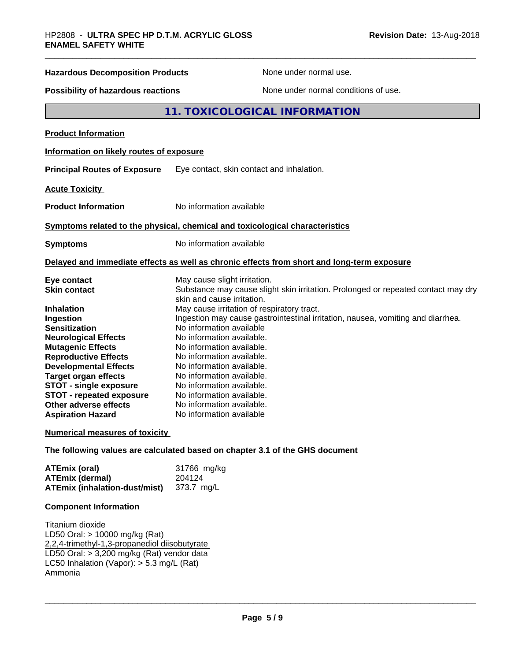# **Hazardous Decomposition Products** None under normal use. **Possibility of hazardous reactions** None under normal conditions of use. **11. TOXICOLOGICAL INFORMATION Product Information Information on likely routes of exposure Principal Routes of Exposure** Eye contact, skin contact and inhalation. **Acute Toxicity Product Information** No information available **Symptoms related to the physical,chemical and toxicological characteristics Symptoms** No information available **Delayed and immediate effects as well as chronic effects from short and long-term exposure Eye contact Execution Contact May cause slight irritation.**<br> **Substance may cause slight in the Substance may cause slight** Substance may cause slight skin irritation. Prolonged or repeated contact may dry skin and cause irritation.

|                                 | skin and cause irritation.                                                      |
|---------------------------------|---------------------------------------------------------------------------------|
| <b>Inhalation</b>               | May cause irritation of respiratory tract.                                      |
| Ingestion                       | Ingestion may cause gastrointestinal irritation, nausea, vomiting and diarrhea. |
| <b>Sensitization</b>            | No information available                                                        |
| <b>Neurological Effects</b>     | No information available.                                                       |
| <b>Mutagenic Effects</b>        | No information available.                                                       |
| <b>Reproductive Effects</b>     | No information available.                                                       |
| <b>Developmental Effects</b>    | No information available.                                                       |
| Target organ effects            | No information available.                                                       |
| <b>STOT - single exposure</b>   | No information available.                                                       |
| <b>STOT - repeated exposure</b> | No information available.                                                       |
| Other adverse effects           | No information available.                                                       |
| <b>Aspiration Hazard</b>        | No information available                                                        |

#### **Numerical measures of toxicity**

**The following values are calculated based on chapter 3.1 of the GHS document**

| <b>ATEmix (oral)</b>                            | 31766 mg/kg |
|-------------------------------------------------|-------------|
| <b>ATEmix (dermal)</b>                          | 204124      |
| <b>ATEmix (inhalation-dust/mist)</b> 373.7 mg/L |             |

#### **Component Information**

Titanium dioxide LD50 Oral: > 10000 mg/kg (Rat) 2,2,4-trimethyl-1,3-propanediol diisobutyrate LD50 Oral: > 3,200 mg/kg (Rat) vendor data LC50 Inhalation (Vapor): > 5.3 mg/L (Rat) Ammonia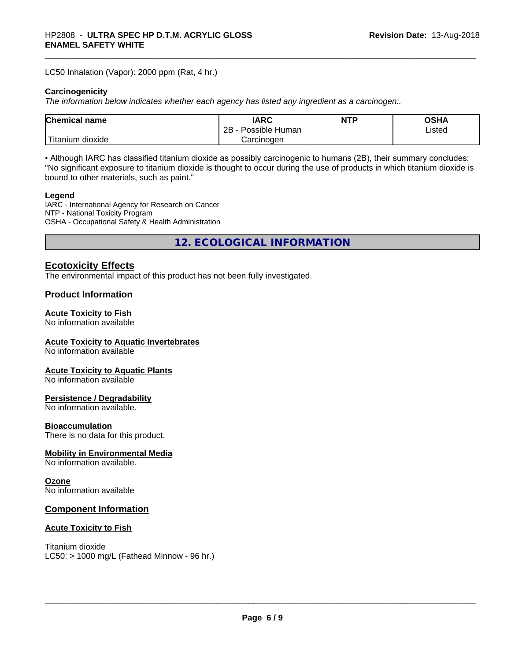LC50 Inhalation (Vapor): 2000 ppm (Rat, 4 hr.)

#### **Carcinogenicity**

*The information below indicateswhether each agency has listed any ingredient as a carcinogen:.*

| <b>Chemical</b><br>name       | <b>IARC</b>                  | <b>NTP</b> | ດເ⊔າ<br>שרט |
|-------------------------------|------------------------------|------------|-------------|
|                               | .<br>2B<br>Human<br>Possible |            | Listed      |
| <br>dioxide<br><b>itanium</b> | Carcinogen                   |            |             |

• Although IARC has classified titanium dioxide as possibly carcinogenic to humans (2B), their summary concludes: "No significant exposure to titanium dioxide is thought to occur during the use of products in which titanium dioxide is bound to other materials, such as paint."

#### **Legend**

IARC - International Agency for Research on Cancer NTP - National Toxicity Program OSHA - Occupational Safety & Health Administration

**12. ECOLOGICAL INFORMATION**

#### **Ecotoxicity Effects**

The environmental impact of this product has not been fully investigated.

#### **Product Information**

#### **Acute Toxicity to Fish**

No information available

#### **Acute Toxicity to Aquatic Invertebrates**

No information available

#### **Acute Toxicity to Aquatic Plants**

No information available

#### **Persistence / Degradability**

No information available.

#### **Bioaccumulation**

There is no data for this product.

#### **Mobility in Environmental Media**

No information available.

#### **Ozone**

No information available

#### **Component Information**

#### **Acute Toxicity to Fish**

Titanium dioxide  $LC50: > 1000$  mg/L (Fathead Minnow - 96 hr.)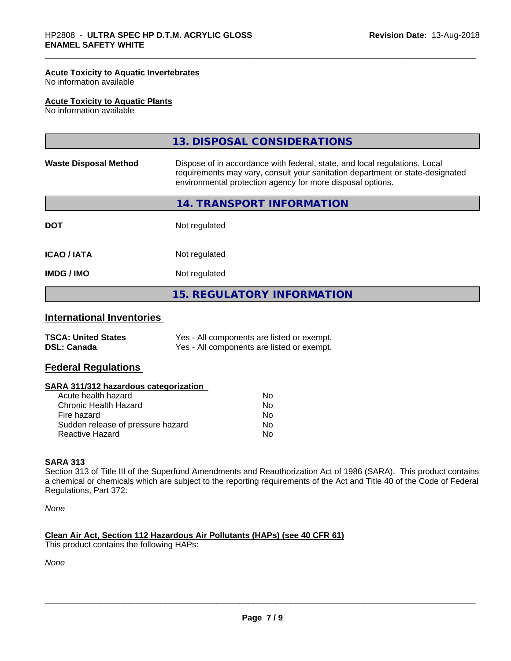#### **Acute Toxicity to Aquatic Invertebrates**

No information available

#### **Acute Toxicity to Aquatic Plants**

No information available

|                              | 13. DISPOSAL CONSIDERATIONS                                                                                                                                                                                               |
|------------------------------|---------------------------------------------------------------------------------------------------------------------------------------------------------------------------------------------------------------------------|
| <b>Waste Disposal Method</b> | Dispose of in accordance with federal, state, and local regulations. Local<br>requirements may vary, consult your sanitation department or state-designated<br>environmental protection agency for more disposal options. |
|                              | 14. TRANSPORT INFORMATION                                                                                                                                                                                                 |
| <b>DOT</b>                   | Not regulated                                                                                                                                                                                                             |
| <b>ICAO/IATA</b>             | Not regulated                                                                                                                                                                                                             |
| <b>IMDG/IMO</b>              | Not regulated                                                                                                                                                                                                             |
|                              | <b>15. REGULATORY INFORMATION</b>                                                                                                                                                                                         |

### **International Inventories**

| <b>TSCA: United States</b> | Yes - All components are listed or exempt. |
|----------------------------|--------------------------------------------|
| <b>DSL: Canada</b>         | Yes - All components are listed or exempt. |

#### **Federal Regulations**

#### **SARA 311/312 hazardous categorization**

| Acute health hazard               | No |  |
|-----------------------------------|----|--|
| Chronic Health Hazard             | Nο |  |
| Fire hazard                       | N٥ |  |
| Sudden release of pressure hazard | Nο |  |
| Reactive Hazard                   | Nο |  |

#### **SARA 313**

Section 313 of Title III of the Superfund Amendments and Reauthorization Act of 1986 (SARA). This product contains a chemical or chemicals which are subject to the reporting requirements of the Act and Title 40 of the Code of Federal Regulations, Part 372:

*None*

#### **Clean Air Act,Section 112 Hazardous Air Pollutants (HAPs) (see 40 CFR 61)**

This product contains the following HAPs:

*None*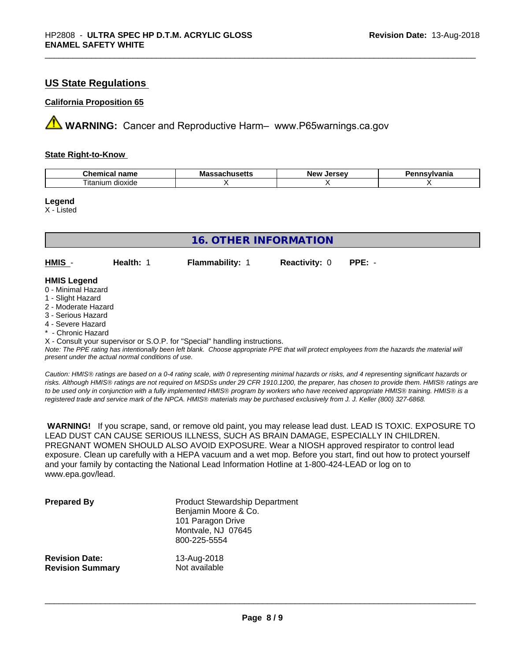#### **US State Regulations**

#### **California Proposition 65**

**AVIMARNING:** Cancer and Reproductive Harm– www.P65warnings.ca.gov

#### **State Right-to-Know**

| ъ.<br>$ -$<br>$n_{max}$<br>nemical<br>name<br>.            | Ma<br>пиэспэ<br>. | Iarcav<br>Ne'<br>--<br>-35 | /Ivania |
|------------------------------------------------------------|-------------------|----------------------------|---------|
| $\overline{\phantom{a}}$<br>$\sim$<br>dioxide<br>, itanıum |                   |                            |         |

**Legend**

X - Listed

| <b>16. OTHER INFORMATION</b>                                               |           |                        |                      |          |  |
|----------------------------------------------------------------------------|-----------|------------------------|----------------------|----------|--|
| HMIS -                                                                     | Health: 1 | <b>Flammability: 1</b> | <b>Reactivity: 0</b> | $PPE: -$ |  |
| <b>HMIS Legend</b>                                                         |           |                        |                      |          |  |
| 0 - Minimal Hazard                                                         |           |                        |                      |          |  |
| 1 - Slight Hazard                                                          |           |                        |                      |          |  |
| 2 - Moderate Hazard                                                        |           |                        |                      |          |  |
| 3 - Serious Hazard                                                         |           |                        |                      |          |  |
| 4 - Severe Hazard                                                          |           |                        |                      |          |  |
| * - Chronic Hazard                                                         |           |                        |                      |          |  |
| X - Consult your supervisor or S.O.P. for "Special" handling instructions. |           |                        |                      |          |  |

*Note: The PPE rating has intentionally been left blank. Choose appropriate PPE that will protect employees from the hazards the material will present under the actual normal conditions of use.*

*Caution: HMISÒ ratings are based on a 0-4 rating scale, with 0 representing minimal hazards or risks, and 4 representing significant hazards or risks. Although HMISÒ ratings are not required on MSDSs under 29 CFR 1910.1200, the preparer, has chosen to provide them. HMISÒ ratings are to be used only in conjunction with a fully implemented HMISÒ program by workers who have received appropriate HMISÒ training. HMISÒ is a registered trade and service mark of the NPCA. HMISÒ materials may be purchased exclusively from J. J. Keller (800) 327-6868.*

 **WARNING!** If you scrape, sand, or remove old paint, you may release lead dust. LEAD IS TOXIC. EXPOSURE TO LEAD DUST CAN CAUSE SERIOUS ILLNESS, SUCH AS BRAIN DAMAGE, ESPECIALLY IN CHILDREN. PREGNANT WOMEN SHOULD ALSO AVOID EXPOSURE.Wear a NIOSH approved respirator to control lead exposure. Clean up carefully with a HEPA vacuum and a wet mop. Before you start, find out how to protect yourself and your family by contacting the National Lead Information Hotline at 1-800-424-LEAD or log on to www.epa.gov/lead.

| <b>Prepared By</b>      | <b>Product Stewardship Department</b><br>Benjamin Moore & Co.<br>101 Paragon Drive<br>Montvale, NJ 07645<br>800-225-5554 |
|-------------------------|--------------------------------------------------------------------------------------------------------------------------|
| <b>Revision Date:</b>   | 13-Aug-2018                                                                                                              |
| <b>Revision Summary</b> | Not available                                                                                                            |